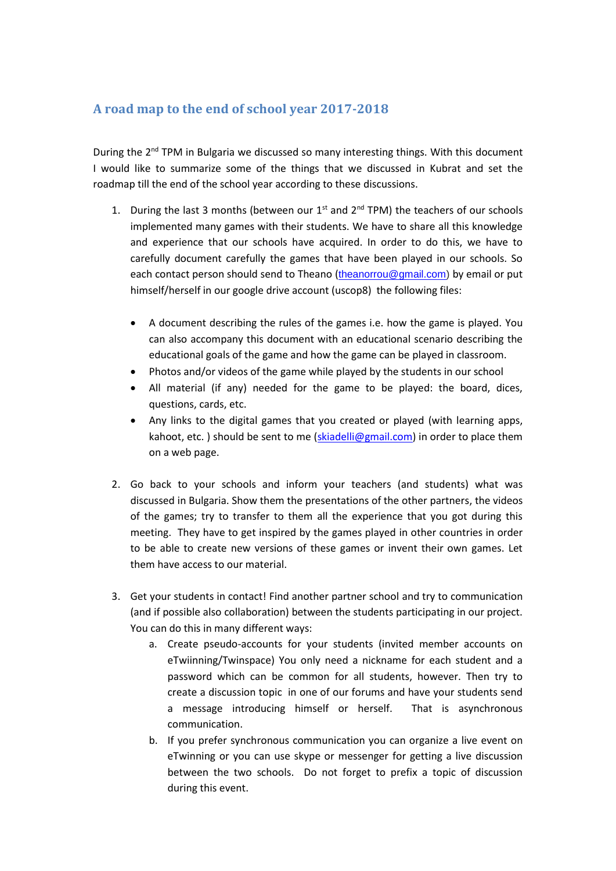## **A road map to the end of school year 2017-2018**

During the 2<sup>nd</sup> TPM in Bulgaria we discussed so many interesting things. With this document I would like to summarize some of the things that we discussed in Kubrat and set the roadmap till the end of the school year according to these discussions.

- 1. During the last 3 months (between our  $1<sup>st</sup>$  and  $2<sup>nd</sup>$  TPM) the teachers of our schools implemented many games with their students. We have to share all this knowledge and experience that our schools have acquired. In order to do this, we have to carefully document carefully the games that have been played in our schools. So each contact person should send to Theano ([theanorrou@gmail.com\)](mailto:theanorrou@gmail.com) by email or put himself/herself in our google drive account (uscop8) the following files:
	- A document describing the rules of the games i.e. how the game is played. You can also accompany this document with an educational scenario describing the educational goals of the game and how the game can be played in classroom.
	- Photos and/or videos of the game while played by the students in our school
	- All material (if any) needed for the game to be played: the board, dices, questions, cards, etc.
	- Any links to the digital games that you created or played (with learning apps, kahoot, etc. ) should be sent to me [\(skiadelli@gmail.com\)](mailto:skiadelli@gmail.com) in order to place them on a web page.
- 2. Go back to your schools and inform your teachers (and students) what was discussed in Bulgaria. Show them the presentations of the other partners, the videos of the games; try to transfer to them all the experience that you got during this meeting. They have to get inspired by the games played in other countries in order to be able to create new versions of these games or invent their own games. Let them have access to our material.
- 3. Get your students in contact! Find another partner school and try to communication (and if possible also collaboration) between the students participating in our project. You can do this in many different ways:
	- a. Create pseudo-accounts for your students (invited member accounts on eTwiinning/Twinspace) You only need a nickname for each student and a password which can be common for all students, however. Then try to create a discussion topic in one of our forums and have your students send a message introducing himself or herself. That is asynchronous communication.
	- b. If you prefer synchronous communication you can organize a live event on eTwinning or you can use skype or messenger for getting a live discussion between the two schools. Do not forget to prefix a topic of discussion during this event.